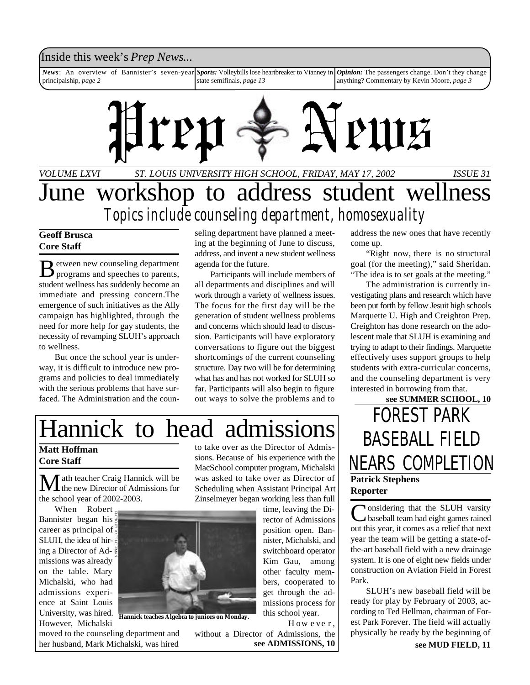### Inside this week's *Prep News*...

*News*: An overview of Bannister's seven-year principalship, *page 2 Sports:* Volleybills lose heartbreaker to Vianney in state semifinals, *page 13 Opinion:* The passengers change. Don't they change anything? Commentary by Kevin Moore, *page 3*



*VOLUME LXVI ST. LOUIS UNIVERSITY HIGH SCHOOL, FRIDAY, MAY 17, 2002 ISSUE 31*

# June workshop to address student wellness *Topics include counseling department, homosexuality*

### **Geoff Brusca Core Staff**

 $\mathbf{B}$  etween new counseling department<br>programs and speeches to parents, etween new counseling department student wellness has suddenly become an immediate and pressing concern.The emergence of such initiatives as the Ally campaign has highlighted, through the need for more help for gay students, the necessity of revamping SLUH's approach to wellness.

But once the school year is underway, it is difficult to introduce new programs and policies to deal immediately with the serious problems that have surfaced. The Administration and the counseling department have planned a meeting at the beginning of June to discuss, address, and invent a new student wellness agenda for the future.

Participants will include members of all departments and disciplines and will work through a variety of wellness issues. The focus for the first day will be the generation of student wellness problems and concerns which should lead to discussion. Participants will have exploratory conversations to figure out the biggest shortcomings of the current counseling structure. Day two will be for determining what has and has not worked for SLUH so far. Participants will also begin to figure out ways to solve the problems and to

# Hannick to head admissions

**Matt Hoffman Core Staff**

**M** ath teacher Craig Hannick will be the new Director of Admissions for the school year of 2002-2003.

When Robert Bannister began his career as principal of SLUH, the idea of hiring a Director of Admissions was already on the table. Mary Michalski, who had admissions experience at Saint Louis University, was hired. **Hannick teaches Algebra to juniors on Monday.** However, Michalski



moved to the counseling department and her husband, Mark Michalski, was hired

to take over as the Director of Admissions. Because of his experience with the MacSchool computer program, Michalski was asked to take over as Director of Scheduling when Assistant Principal Art Zinselmeyer began working less than full

> time, leaving the Director of Admissions position open. Bannister, Michalski, and switchboard operator Kim Gau, among other faculty members, cooperated to get through the admissions process for this school year.

> > H ow e ve r ,

**see ADMISSIONS, 10** without a Director of Admissions, the

address the new ones that have recently come up.

"Right now, there is no structural goal (for the meeting)," said Sheridan. "The idea is to set goals at the meeting."

The administration is currently investigating plans and research which have been put forth by fellow Jesuit high schools Marquette U. High and Creighton Prep. Creighton has done research on the adolescent male that SLUH is examining and trying to adapt to their findings. Marquette effectively uses support groups to help students with extra-curricular concerns, and the counseling department is very interested in borrowing from that.

### **see SUMMER SCHOOL, 10**

FOREST PARK BASEBALL FIELD NEARS COMPLETION **Patrick Stephens Reporter**

Considering that the SLUH varsity<br>baseball team had eight games rained baseball team had eight games rained out this year, it comes as a relief that next year the team will be getting a state-ofthe-art baseball field with a new drainage system. It is one of eight new fields under construction on Aviation Field in Forest Park.

SLUH's new baseball field will be ready for play by February of 2003, according to Ted Hellman, chairman of Forest Park Forever. The field will actually physically be ready by the beginning of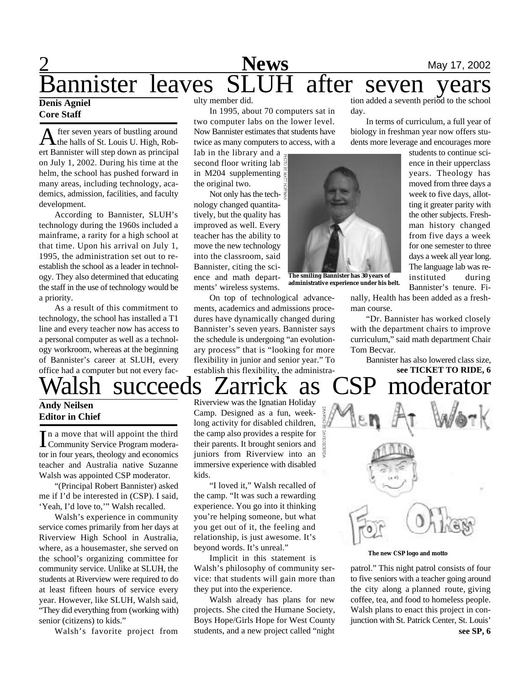# **News** May 17, 2002 Bannister leaves SLUH after seven years

### **Denis Agniel Core Staff**

A fter seven years of bustling around<br>the halls of St. Louis U. High, Robfter seven years of bustling around ert Bannister will step down as principal on July 1, 2002. During his time at the helm, the school has pushed forward in many areas, including technology, academics, admission, facilities, and faculty development.

According to Bannister, SLUH's technology during the 1960s included a mainframe, a rarity for a high school at that time. Upon his arrival on July 1, 1995, the administration set out to reestablish the school as a leader in technology. They also determined that educating the staff in the use of technology would be a priority.

As a result of this commitment to technology, the school has installed a T1 line and every teacher now has access to a personal computer as well as a technology workroom, whereas at the beginning of Bannister's career at SLUH, every office had a computer but not every fac-

### ulty member did.

In 1995, about 70 computers sat in two computer labs on the lower level. Now Bannister estimates that students have twice as many computers to access, with a

lab in the library and a second floor writing lab in M204 supplementing  $\tilde{\xi}$ the original two.

Not only has the technology changed quantitatively, but the quality has improved as well. Every teacher has the ability to move the new technology into the classroom, said Bannister, citing the science and math departments' wireless systems.

On top of technological advancements, academics and admissions procedures have dynamically changed during Bannister's seven years. Bannister says the schedule is undergoing "an evolutionary process" that is "looking for more flexibility in junior and senior year." To establish this flexibility, the administra-

tion added a seventh period to the school day.

In terms of curriculum, a full year of biology in freshman year now offers students more leverage and encourages more

> students to continue science in their upperclass years. Theology has moved from three days a week to five days, allotting it greater parity with the other subjects. Freshman history changed from five days a week for one semester to three days a week all year long. The language lab was reinstituted during Bannister's tenure. Fi-

nally, Health has been added as a freshman course.

"Dr. Bannister has worked closely with the department chairs to improve curriculum," said math department Chair Tom Becvar.

Bannister has also lowered class size, **see TICKET TO RIDE, 6**



**administrative experience under his belt.**

# succeeds Zarrick as CSP moderator

### **Andy Neilsen Editor in Chief**

In a move that will appoint the third<br>Community Service Program modera-Community Service Program moderator in four years, theology and economics teacher and Australia native Suzanne Walsh was appointed CSP moderator.

"(Principal Robert Bannister) asked me if I'd be interested in (CSP). I said, 'Yeah, I'd love to,'" Walsh recalled.

Walsh's experience in community service comes primarily from her days at Riverview High School in Australia, where, as a housemaster, she served on the school's organizing committee for community service. Unlike at SLUH, the students at Riverview were required to do at least fifteen hours of service every year. However, like SLUH, Walsh said, "They did everything from (working with) senior (citizens) to kids."

Walsh's favorite project from

Riverview was the Ignatian Holiday Camp. Designed as a fun, weeklong activity for disabled children, the camp also provides a respite for their parents. It brought seniors and juniors from Riverview into an immersive experience with disabled kids.

"I loved it," Walsh recalled of the camp. "It was such a rewarding experience. You go into it thinking you're helping someone, but what you get out of it, the feeling and relationship, is just awesome. It's beyond words. It's unreal."

Implicit in this statement is Walsh's philosophy of community service: that students will gain more than they put into the experience.

Walsh already has plans for new projects. She cited the Humane Society, Boys Hope/Girls Hope for West County students, and a new project called "night



**The new CSP logo and motto**

patrol." This night patrol consists of four to five seniors with a teacher going around the city along a planned route, giving coffee, tea, and food to homeless people. Walsh plans to enact this project in conjunction with St. Patrick Center, St. Louis' **see SP, 6**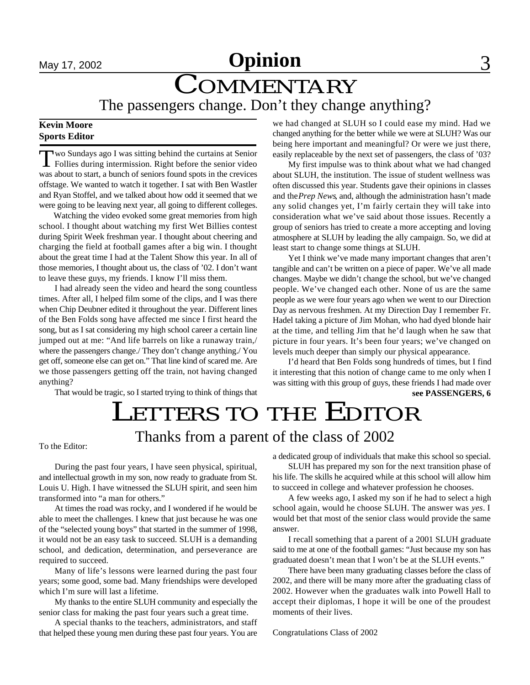# <u>May 17, 2002 **Opinion** 3</u>

# **COMMENTARY**

The passengers change. Don't they change anything?

### **Kevin Moore Sports Editor**

Two Sundays ago I was sitting behind the curtains at Senior<br>Follies during intermission. Right before the senior video wo Sundays ago I was sitting behind the curtains at Senior was about to start, a bunch of seniors found spots in the crevices offstage. We wanted to watch it together. I sat with Ben Wastler and Ryan Stoffel, and we talked about how odd it seemed that we were going to be leaving next year, all going to different colleges.

 Watching the video evoked some great memories from high school. I thought about watching my first Wet Billies contest during Spirit Week freshman year. I thought about cheering and charging the field at football games after a big win. I thought about the great time I had at the Talent Show this year. In all of those memories, I thought about us, the class of '02. I don't want to leave these guys, my friends. I know I'll miss them.

 I had already seen the video and heard the song countless times. After all, I helped film some of the clips, and I was there when Chip Deubner edited it throughout the year. Different lines of the Ben Folds song have affected me since I first heard the song, but as I sat considering my high school career a certain line jumped out at me: "And life barrels on like a runaway train,/ where the passengers change./ They don't change anything./ You get off, someone else can get on." That line kind of scared me. Are we those passengers getting off the train, not having changed anything?

That would be tragic, so I started trying to think of things that

we had changed at SLUH so I could ease my mind. Had we changed anything for the better while we were at SLUH? Was our being here important and meaningful? Or were we just there, easily replaceable by the next set of passengers, the class of '03?

My first impulse was to think about what we had changed about SLUH, the institution. The issue of student wellness was often discussed this year. Students gave their opinions in classes and the *Prep News*, and, although the administration hasn't made any solid changes yet, I'm fairly certain they will take into consideration what we've said about those issues. Recently a group of seniors has tried to create a more accepting and loving atmosphere at SLUH by leading the ally campaign. So, we did at least start to change some things at SLUH.

Yet I think we've made many important changes that aren't tangible and can't be written on a piece of paper. We've all made changes. Maybe we didn't change the school, but we've changed people. We've changed each other. None of us are the same people as we were four years ago when we went to our Direction Day as nervous freshmen. At my Direction Day I remember Fr. Hadel taking a picture of Jim Mohan, who had dyed blonde hair at the time, and telling Jim that he'd laugh when he saw that picture in four years. It's been four years; we've changed on levels much deeper than simply our physical appearance.

I'd heard that Ben Folds song hundreds of times, but I find it interesting that this notion of change came to me only when I was sitting with this group of guys, these friends I had made over **see PASSENGERS, 6**

# LETTERS TO THE EDITOR

### Thanks from a parent of the class of 2002

To the Editor:

During the past four years, I have seen physical, spiritual, and intellectual growth in my son, now ready to graduate from St. Louis U. High. I have witnessed the SLUH spirit, and seen him transformed into "a man for others."

At times the road was rocky, and I wondered if he would be able to meet the challenges. I knew that just because he was one of the "selected young boys" that started in the summer of 1998, it would not be an easy task to succeed. SLUH is a demanding school, and dedication, determination, and perseverance are required to succeed.

Many of life's lessons were learned during the past four years; some good, some bad. Many friendships were developed which I'm sure will last a lifetime.

My thanks to the entire SLUH community and especially the senior class for making the past four years such a great time.

A special thanks to the teachers, administrators, and staff that helped these young men during these past four years. You are

a dedicated group of individuals that make this school so special.

SLUH has prepared my son for the next transition phase of his life. The skills he acquired while at this school will allow him to succeed in college and whatever profession he chooses.

A few weeks ago, I asked my son if he had to select a high school again, would he choose SLUH. The answer was *yes*. I would bet that most of the senior class would provide the same answer.

I recall something that a parent of a 2001 SLUH graduate said to me at one of the football games: "Just because my son has graduated doesn't mean that I won't be at the SLUH events."

There have been many graduating classes before the class of 2002, and there will be many more after the graduating class of 2002. However when the graduates walk into Powell Hall to accept their diplomas, I hope it will be one of the proudest moments of their lives.

Congratulations Class of 2002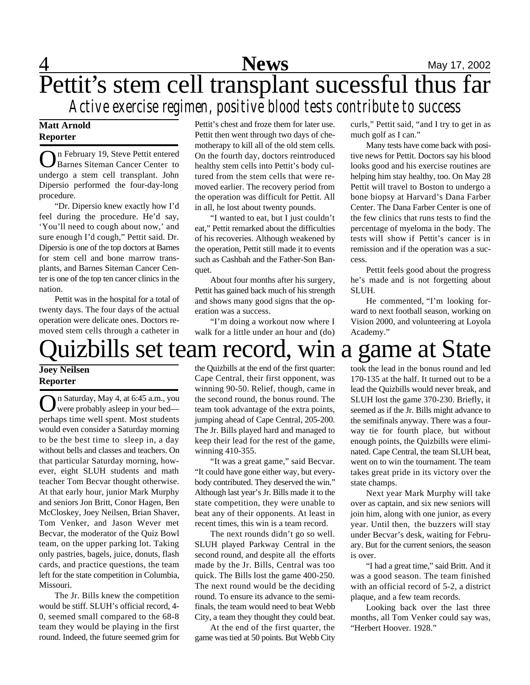# 4 **News** May 17, 2002 Pettit's stem cell transplant sucessful thus far *Active exercise regimen, positive blood tests contribute to success*

### **Matt Arnold Reporter**

O n February 19, Steve Pettit entered Barnes Siteman Cancer Center to undergo a stem cell transplant. John Dipersio performed the four-day-long procedure.

"Dr. Dipersio knew exactly how I'd feel during the procedure. He'd say, 'You'll need to cough about now,' and sure enough I'd cough," Pettit said. Dr. Dipersio is one of the top doctors at Barnes for stem cell and bone marrow transplants, and Barnes Siteman Cancer Center is one of the top ten cancer clinics in the nation.

Pettit was in the hospital for a total of twenty days. The four days of the actual operation were delicate ones. Doctors removed stem cells through a catheter in

Pettit's chest and froze them for later use. Pettit then went through two days of chemotherapy to kill all of the old stem cells. On the fourth day, doctors reintroduced healthy stem cells into Pettit's body cultured from the stem cells that were removed earlier. The recovery period from the operation was difficult for Pettit. All in all, he lost about twenty pounds.

"I wanted to eat, but I just couldn't eat," Pettit remarked about the difficulties of his recoveries. Although weakened by the operation, Pettit still made it to events such as Cashbah and the Father-Son Banquet.

About four months after his surgery, Pettit has gained back much of his strength and shows many good signs that the operation was a success.

"I'm doing a workout now where I walk for a little under an hour and (do) curls," Pettit said, "and I try to get in as much golf as I can."

Many tests have come back with positive news for Pettit. Doctors say his blood looks good and his exercise routines are helping him stay healthy, too. On May 28 Pettit will travel to Boston to undergo a bone biopsy at Harvard's Dana Farber Center. The Dana Farber Center is one of the few clinics that runs tests to find the percentage of myeloma in the body. The tests will show if Pettit's cancer is in remission and if the operation was a success.

Pettit feels good about the progress he's made and is not forgetting about SLUH.

He commented, "I'm looking forward to next football season, working on Vision 2000, and volunteering at Loyola Academy."

# uizbills set team record, win a game at State

**Joey Neilsen Reporter**

O n Saturday, May 4, at 6:45 a.m., you were probably asleep in your bed– perhaps time well spent. Most students would even consider a Saturday morning to be the best time to sleep in, a day without bells and classes and teachers. On that particular Saturday morning, however, eight SLUH students and math teacher Tom Becvar thought otherwise. At that early hour, junior Mark Murphy and seniors Jon Britt, Conor Hagen, Ben McCloskey, Joey Neilsen, Brian Shaver, Tom Venker, and Jason Wever met Becvar, the moderator of the Quiz Bowl team, on the upper parking lot. Taking only pastries, bagels, juice, donuts, flash cards, and practice questions, the team left for the state competition in Columbia, Missouri.

The Jr. Bills knew the competition would be stiff. SLUH's official record, 4- 0, seemed small compared to the 68-8 team they would be playing in the first round. Indeed, the future seemed grim for

the Quizbills at the end of the first quarter: Cape Central, their first opponent, was winning 90-50. Relief, though, came in the second round, the bonus round. The team took advantage of the extra points, jumping ahead of Cape Central, 205-200. The Jr. Bills played hard and managed to keep their lead for the rest of the game, winning 410-355.

"It was a great game," said Becvar. "It could have gone either way, but everybody contributed. They deserved the win." Although last year's Jr. Bills made it to the state competition, they were unable to beat any of their opponents. At least in recent times, this win is a team record.

The next rounds didn't go so well. SLUH played Parkway Central in the second round, and despite all the efforts made by the Jr. Bills, Central was too quick. The Bills lost the game 400-250. The next round would be the deciding round. To ensure its advance to the semifinals, the team would need to beat Webb City, a team they thought they could beat.

At the end of the first quarter, the game was tied at 50 points. But Webb City

took the lead in the bonus round and led 170-135 at the half. It turned out to be a lead the Quizbills would never break, and SLUH lost the game 370-230. Briefly, it seemed as if the Jr. Bills might advance to the semifinals anyway. There was a fourway tie for fourth place, but without enough points, the Quizbills were eliminated. Cape Central, the team SLUH beat, went on to win the tournament. The team takes great pride in its victory over the state champs.

Next year Mark Murphy will take over as captain, and six new seniors will join him, along with one junior, as every year. Until then, the buzzers will stay under Becvar's desk, waiting for February. But for the current seniors, the season is over.

"I had a great time," said Britt. And it was a good season. The team finished with an official record of 5-2, a district plaque, and a few team records.

Looking back over the last three months, all Tom Venker could say was, "Herbert Hoover. 1928."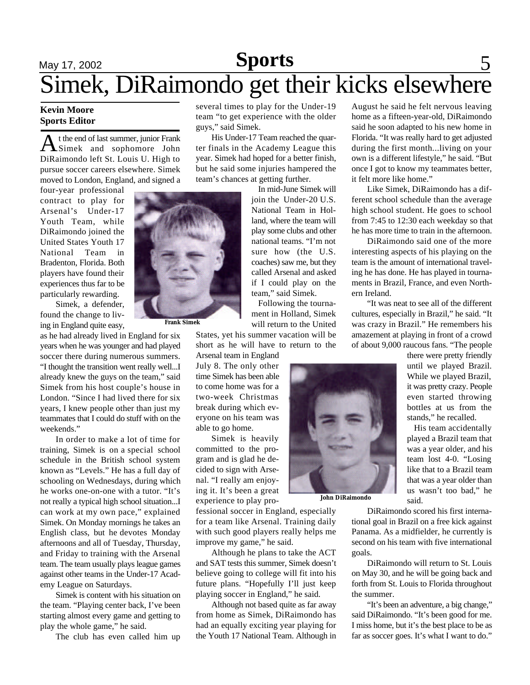# **May** 17, 2002 **Sports** 5 Simek, DiRaimondo get their kicks elsewhere

### **Kevin Moore Sports Editor**

A the end of last summer, junior Frank<br>Simek and sophomore John t the end of last summer, junior Frank DiRaimondo left St. Louis U. High to pursue soccer careers elsewhere. Simek moved to London, England, and signed a

four-year professional contract to play for Arsenal's Under-17 Youth Team, while DiRaimondo joined the United States Youth 17 National Team in Bradenton, Florida. Both players have found their experiences thus far to be particularly rewarding.

Simek, a defender, found the change to living in England quite easy,

as he had already lived in England for six years when he was younger and had played soccer there during numerous summers. "I thought the transition went really well...I already knew the guys on the team," said Simek from his host couple's house in London. "Since I had lived there for six years, I knew people other than just my teammates that I could do stuff with on the weekends."

In order to make a lot of time for training, Simek is on a special school schedule in the British school system known as "Levels." He has a full day of schooling on Wednesdays, during which he works one-on-one with a tutor. "It's not really a typical high school situation...I can work at my own pace," explained Simek. On Monday mornings he takes an English class, but he devotes Monday afternoons and all of Tuesday, Thursday, and Friday to training with the Arsenal team. The team usually plays league games against other teams in the Under-17 Academy League on Saturdays.

Simek is content with his situation on the team. "Playing center back, I've been starting almost every game and getting to play the whole game," he said.

The club has even called him up

several times to play for the Under-19 team "to get experience with the older guys," said Simek.

His Under-17 Team reached the quarter finals in the Academy League this year. Simek had hoped for a better finish, but he said some injuries hampered the team's chances at getting further.

> In mid-June Simek will join the Under-20 U.S. National Team in Holland, where the team will play some clubs and other national teams. "I'm not sure how (the U.S. coaches) saw me, but they called Arsenal and asked if I could play on the team," said Simek.

Following the tournament in Holland, Simek will return to the United

States, yet his summer vacation will be short as he will have to return to the

Arsenal team in England July 8. The only other time Simek has been able to come home was for a two-week Christmas break during which everyone on his team was able to go home.

Simek is heavily committed to the program and is glad he decided to sign with Arsenal. "I really am enjoying it. It's been a great experience to play pro-

fessional soccer in England, especially for a team like Arsenal. Training daily with such good players really helps me improve my game," he said.

**John DiRaimondo**

Although he plans to take the ACT and SAT tests this summer, Simek doesn't believe going to college will fit into his future plans. "Hopefully I'll just keep playing soccer in England," he said.

Although not based quite as far away from home as Simek, DiRaimondo has had an equally exciting year playing for the Youth 17 National Team. Although in August he said he felt nervous leaving home as a fifteen-year-old, DiRaimondo said he soon adapted to his new home in Florida. "It was really hard to get adjusted during the first month...living on your own is a different lifestyle," he said. "But once I got to know my teammates better, it felt more like home."

Like Simek, DiRaimondo has a different school schedule than the average high school student. He goes to school from 7:45 to 12:30 each weekday so that he has more time to train in the afternoon.

DiRaimondo said one of the more interesting aspects of his playing on the team is the amount of international traveling he has done. He has played in tournaments in Brazil, France, and even Northern Ireland.

"It was neat to see all of the different cultures, especially in Brazil," he said. "It was crazy in Brazil." He remembers his amazement at playing in front of a crowd of about 9,000 raucous fans. "The people

> there were pretty friendly until we played Brazil. While we played Brazil, it was pretty crazy. People even started throwing bottles at us from the stands," he recalled.

> His team accidentally played a Brazil team that was a year older, and his team lost 4-0. "Losing like that to a Brazil team that was a year older than us wasn't too bad," he said.

DiRaimondo scored his first international goal in Brazil on a free kick against Panama. As a midfielder, he currently is second on his team with five international goals.

DiRaimondo will return to St. Louis on May 30, and he will be going back and forth from St. Louis to Florida throughout the summer.

"It's been an adventure, a big change," said DiRaimondo. "It's been good for me. I miss home, but it's the best place to be as far as soccer goes. It's what I want to do."



**Frank Simek**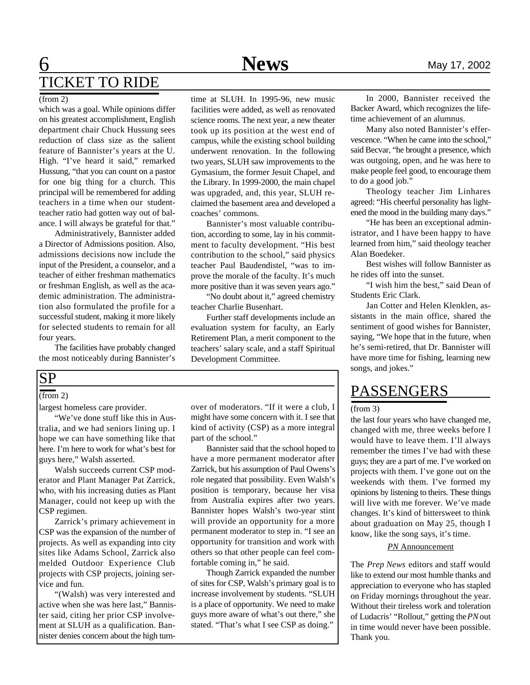## **6** Mews May 17, 2002 TICKET TO RIDE

which was a goal. While opinions differ on his greatest accomplishment, English department chair Chuck Hussung sees reduction of class size as the salient feature of Bannister's years at the U. High. "I've heard it said," remarked Hussung, "that you can count on a pastor for one big thing for a church. This principal will be remembered for adding teachers in a time when our studentteacher ratio had gotten way out of balance. I will always be grateful for that."

Administratively, Bannister added a Director of Admissions position. Also, admissions decisions now include the input of the President, a counselor, and a teacher of either freshman mathematics or freshman English, as well as the academic administration. The administration also formulated the profile for a successful student, making it more likely for selected students to remain for all four years.

The facilities have probably changed the most noticeably during Bannister's

## SP

 $(from 2)$ 

"We've done stuff like this in Australia, and we had seniors lining up. I hope we can have something like that here. I'm here to work for what's best for guys here," Walsh asserted.

Walsh succeeds current CSP moderator and Plant Manager Pat Zarrick, who, with his increasing duties as Plant Manager, could not keep up with the CSP regimen.

Zarrick's primary achievement in CSP was the expansion of the number of projects. As well as expanding into city sites like Adams School, Zarrick also melded Outdoor Experience Club projects with CSP projects, joining service and fun.

"(Walsh) was very interested and active when she was here last," Bannister said, citing her prior CSP involvement at SLUH as a qualification. Bannister denies concern about the high turn-

 $(from 2)$  time at SLUH. In 1995-96, new music facilities were added, as well as renovated science rooms. The next year, a new theater took up its position at the west end of campus, while the existing school building underwent renovation. In the following two years, SLUH saw improvements to the Gymasium, the former Jesuit Chapel, and the Library. In 1999-2000, the main chapel was upgraded, and, this year, SLUH reclaimed the basement area and developed a coaches' commons.

> Bannister's most valuable contribution, according to some, lay in his commitment to faculty development. "His best contribution to the school," said physics teacher Paul Baudendistel, "was to improve the morale of the faculty. It's much more positive than it was seven years ago."

> "No doubt about it," agreed chemistry teacher Charlie Busenhart.

> Further staff developments include an evaluation system for faculty, an Early Retirement Plan, a merit component to the teachers' salary scale, and a staff Spiritual Development Committee.

largest homeless care provider.  $over$  over of moderators. "If it were a club, I  $\left| \right|$  (from 3) might have some concern with it. I see that kind of activity (CSP) as a more integral part of the school."

> Bannister said that the school hoped to have a more permanent moderator after Zarrick, but his assumption of Paul Owens's role negated that possibility. Even Walsh's position is temporary, because her visa from Australia expires after two years. Bannister hopes Walsh's two-year stint will provide an opportunity for a more permanent moderator to step in. "I see an opportunity for transition and work with others so that other people can feel comfortable coming in," he said.

> Though Zarrick expanded the number of sites for CSP, Walsh's primary goal is to increase involvement by students. "SLUH is a place of opportunity. We need to make guys more aware of what's out there," she stated. "That's what I see CSP as doing."

In 2000, Bannister received the Backer Award, which recognizes the lifetime achievement of an alumnus.

Many also noted Bannister's effervescence. "When he came into the school," said Becvar, "he brought a presence, which was outgoing, open, and he was here to make people feel good, to encourage them to do a good job."

Theology teacher Jim Linhares agreed: "His cheerful personality has lightened the mood in the building many days."

"He has been an exceptional administrator, and I have been happy to have learned from him," said theology teacher Alan Boedeker.

Best wishes will follow Bannister as he rides off into the sunset.

"I wish him the best," said Dean of Students Eric Clark.

Jan Cotter and Helen Klenklen, assistants in the main office, shared the sentiment of good wishes for Bannister, saying, "We hope that in the future, when he's semi-retired, that Dr. Bannister will have more time for fishing, learning new songs, and jokes."

### PASSENGERS

the last four years who have changed me, changed with me, three weeks before I would have to leave them. I'll always remember the times I've had with these guys; they are a part of me. I've worked on projects with them. I've gone out on the weekends with them. I've formed my opinions by listening to theirs. These things will live with me forever. We've made changes. It's kind of bittersweet to think about graduation on May 25, though I know, like the song says, it's time.

### *PN* Announcement

The *Prep News* editors and staff would like to extend our most humble thanks and appreciation to everyone who has stapled on Friday mornings throughout the year. Without their tireless work and toleration of Ludacris' "Rollout," getting the *PN* out in time would never have been possible. Thank you.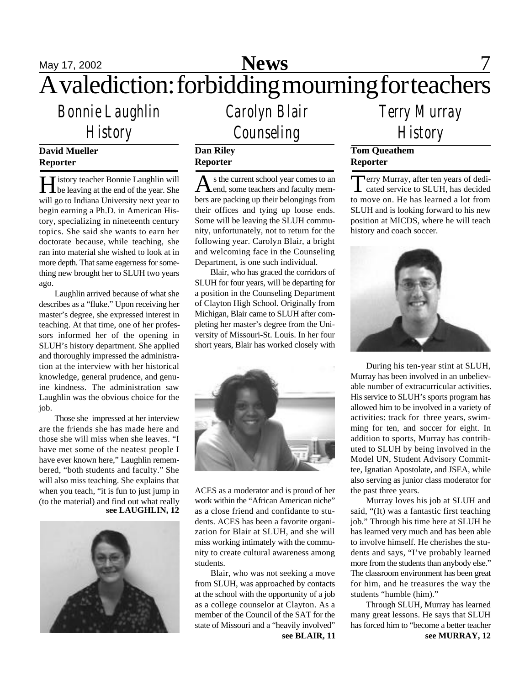# May 17, 2002 **News** 7 A valediction: forbidding mourning for teachers

*Bonnie Laughlin History*

### **David Mueller Reporter**

**H** istory teacher Bonnie Laughlin will<br>the leaving at the end of the year. She be leaving at the end of the year. She will go to Indiana University next year to begin earning a Ph.D. in American History, specializing in nineteenth century topics. She said she wants to earn her doctorate because, while teaching, she ran into material she wished to look at in more depth. That same eagerness for something new brought her to SLUH two years ago.

Laughlin arrived because of what she describes as a "fluke." Upon receiving her master's degree, she expressed interest in teaching. At that time, one of her professors informed her of the opening in SLUH's history department. She applied and thoroughly impressed the administration at the interview with her historical knowledge, general prudence, and genuine kindness. The administration saw Laughlin was the obvious choice for the job.

Those she impressed at her interview are the friends she has made here and those she will miss when she leaves. "I have met some of the neatest people I have ever known here," Laughlin remembered, "both students and faculty." She will also miss teaching. She explains that when you teach, "it is fun to just jump in (to the material) and find out what really **see LAUGHLIN, 12**



*Carolyn Blair Counseling*

### **Dan Riley Reporter**

A s the current school year comes to an<br>dend, some teachers and faculty mems the current school year comes to an bers are packing up their belongings from their offices and tying up loose ends. Some will be leaving the SLUH community, unfortunately, not to return for the following year. Carolyn Blair, a bright and welcoming face in the Counseling Department, is one such individual.

Blair, who has graced the corridors of SLUH for four years, will be departing for a position in the Counseling Department of Clayton High School. Originally from Michigan, Blair came to SLUH after completing her master's degree from the University of Missouri-St. Louis. In her four short years, Blair has worked closely with



ACES as a moderator and is proud of her work within the "African American niche" as a close friend and confidante to students. ACES has been a favorite organization for Blair at SLUH, and she will miss working intimately with the community to create cultural awareness among students.

 Blair, who was not seeking a move from SLUH, was approached by contacts at the school with the opportunity of a job as a college counselor at Clayton. As a member of the Council of the SAT for the state of Missouri and a "heavily involved"

*Terry Murray History*

### **Tom Queathem Reporter**

Terry Murray, after ten years of dedi-<br>
cated service to SLUH, has decided  $\Gamma$ erry Murray, after ten years of dedito move on. He has learned a lot from SLUH and is looking forward to his new position at MICDS, where he will teach history and coach soccer.



During his ten-year stint at SLUH, Murray has been involved in an unbelievable number of extracurricular activities. His service to SLUH's sports program has allowed him to be involved in a variety of activities: track for three years, swimming for ten, and soccer for eight. In addition to sports, Murray has contributed to SLUH by being involved in the Model UN, Student Advisory Committee, Ignatian Apostolate, and JSEA, while also serving as junior class moderator for the past three years.

Murray loves his job at SLUH and said, "(It) was a fantastic first teaching job." Through his time here at SLUH he has learned very much and has been able to involve himself. He cherishes the students and says, "I've probably learned more from the students than anybody else." The classroom environment has been great for him, and he treasures the way the students "humble (him)."

Through SLUH, Murray has learned many great lessons. He says that SLUH has forced him to "become a better teacher **see BLAIR, 11 see MURRAY, 12**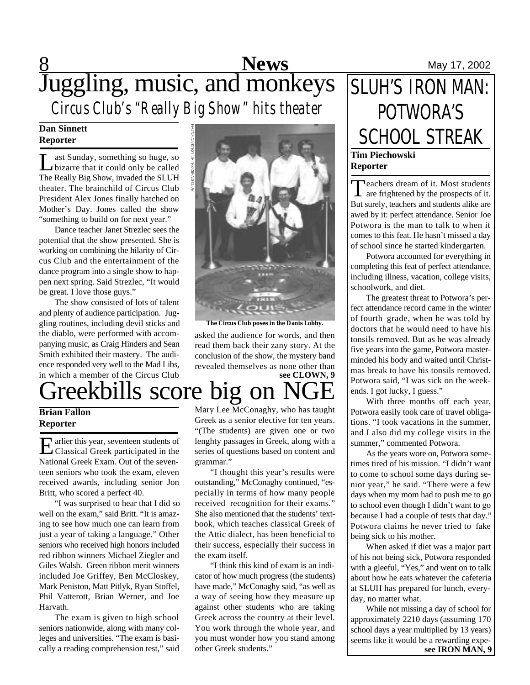# **8** Mews May 17, 2002 Juggling, music, and monkeys *Circus Club's "Really Big Show" hits theater*

### **Dan Sinnett Reporter**

 $\overline{\mathsf{L}}$ ast Sunday, something so huge, so bizarre that it could only be called The Really Big Show, invaded the SLUH theater. The brainchild of Circus Club President Alex Jones finally hatched on Mother's Day. Jones called the show "something to build on for next year."

Dance teacher Janet Strezlec sees the potential that the show presented. She is working on combining the hilarity of Circus Club and the entertainment of the dance program into a single show to happen next spring. Said Strezlec, "It would be great. I love those guys."

The show consisted of lots of talent and plenty of audience participation. Juggling routines, including devil sticks and the diablo, were performed with accompanying music, as Craig Hinders and Sean Smith exhibited their mastery. The audience responded very well to the Mad Libs, in which a member of the Circus Club



**The Circus Club poses in the Danis Lobby.**

asked the audience for words, and then read them back their zany story. At the conclusion of the show, the mystery band revealed themselves as none other than **see CLOWN, 9**

# Greekbills score big on N

### **Brian Fallon Reporter**

E arlier this year, seventeen students of<br>Classical Greek participated in the arlier this year, seventeen students of National Greek Exam. Out of the seventeen seniors who took the exam, eleven received awards, including senior Jon Britt, who scored a perfect 40.

"I was surprised to hear that I did so well on the exam," said Britt. "It is amazing to see how much one can learn from just a year of taking a language." Other seniors who received high honors included red ribbon winners Michael Ziegler and Giles Walsh. Green ribbon merit winners included Joe Griffey, Ben McCloskey, Mark Peniston, Matt Pitlyk, Ryan Stoffel, Phil Vatterott, Brian Werner, and Joe Harvath.

The exam is given to high school seniors nationwide, along with many colleges and universities. "The exam is basically a reading comprehension test," said Mary Lee McConaghy, who has taught Greek as a senior elective for ten years. "(The students) are given one or two lenghty passages in Greek, along with a series of questions based on content and grammar.'

"I thought this year's results were outstanding," McConaghy continued, "especially in terms of how many people received recognition for their exams." She also mentioned that the students' textbook, which teaches classical Greek of the Attic dialect, has been beneficial to their success, especially their success in the exam itself.

"I think this kind of exam is an indicator of how much progress (the students) have made," McConaghy said, "as well as a way of seeing how they measure up against other students who are taking Greek across the country at their level. You work through the whole year, and you must wonder how you stand among other Greek students."

# SLUH'S IRON MAN: POTWORA'S SCHOOL STREAK

### **Tim Piechowski Reporter**

Teachers dream of it. Most students<br>are frightened by the prospects of it. eachers dream of it. Most students But surely, teachers and students alike are awed by it: perfect attendance. Senior Joe Potwora is the man to talk to when it comes to this feat. He hasn't missed a day of school since he started kindergarten.

Potwora accounted for everything in completing this feat of perfect attendance, including illness, vacation, college visits, schoolwork, and diet.

The greatest threat to Potwora's perfect attendance record came in the winter of fourth grade, when he was told by doctors that he would need to have his tonsils removed. But as he was already five years into the game, Potwora masterminded his body and waited until Christmas break to have his tonsils removed. Potwora said, "I was sick on the weekends. I got lucky, I guess."

With three months off each year, Potwora easily took care of travel obligations. "I took vacations in the summer, and I also did my college visits in the summer," commented Potwora.

As the years wore on, Potwora sometimes tired of his mission. "I didn't want to come to school some days during senior year," he said. "There were a few days when my mom had to push me to go to school even though I didn't want to go because I had a couple of tests that day.' Potwora claims he never tried to fake being sick to his mother.

When asked if diet was a major part of his not being sick, Potwora responded with a gleeful, "Yes," and went on to talk about how he eats whatever the cafeteria at SLUH has prepared for lunch, everyday, no matter what.

While not missing a day of school for approximately 2210 days (assuming 170 school days a year multiplied by 13 years) seems like it would be a rewarding expe**see IRON MAN, 9**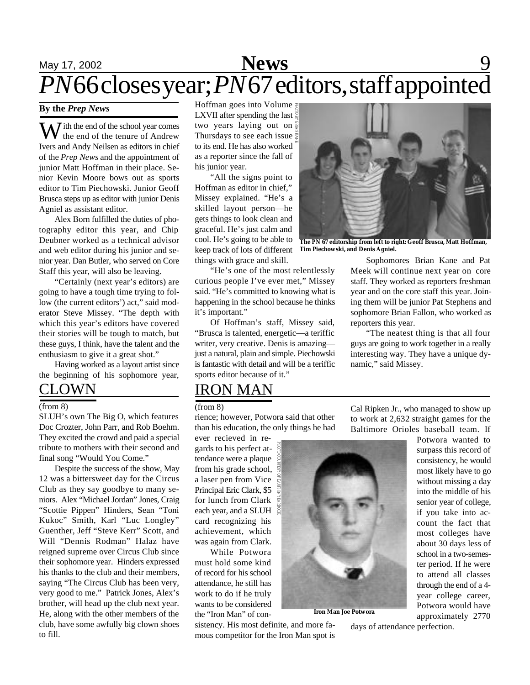# May 17, 2002 **News** 9 *PN* 66 closes year; *PN* 67 editors, staff appointed

### **By the** *Prep News*

 $\sum$  *T* ith the end of the school year comes the end of the tenure of Andrew Ivers and Andy Neilsen as editors in chief of the *Prep News* and the appointment of junior Matt Hoffman in their place. Senior Kevin Moore bows out as sports editor to Tim Piechowski. Junior Geoff Brusca steps up as editor with junior Denis Agniel as assistant editor.

Alex Born fulfilled the duties of photography editor this year, and Chip Deubner worked as a technical advisor and web editor during his junior and senior year. Dan Butler, who served on Core Staff this year, will also be leaving.

"Certainly (next year's editors) are going to have a tough time trying to follow (the current editors') act," said moderator Steve Missey. "The depth with which this year's editors have covered their stories will be tough to match, but these guys, I think, have the talent and the enthusiasm to give it a great shot."

Having worked as a layout artist since the beginning of his sophomore year,

### CLOWN

### (from 8)

SLUH's own The Big O, which features Doc Crozter, John Parr, and Rob Boehm. They excited the crowd and paid a special tribute to mothers with their second and final song "Would You Come."

Despite the success of the show, May 12 was a bittersweet day for the Circus Club as they say goodbye to many seniors. Alex "Michael Jordan" Jones, Craig "Scottie Pippen" Hinders, Sean "Toni Kukoc" Smith, Karl "Luc Longley" Guenther, Jeff "Steve Kerr" Scott, and Will "Dennis Rodman" Halaz have reigned supreme over Circus Club since their sophomore year. Hinders expressed his thanks to the club and their members, saying "The Circus Club has been very, very good to me." Patrick Jones, Alex's brother, will head up the club next year. He, along with the other members of the club, have some awfully big clown shoes to fill.

Hoffman goes into Volume LXVII after spending the last two years laying out on Thursdays to see each issue to its end. He has also worked as a reporter since the fall of his junior year.

"All the signs point to Hoffman as editor in chief," Missey explained. "He's a skilled layout person—he gets things to look clean and graceful. He's just calm and cool. He's going to be able to keep track of lots of different things with grace and skill.

"He's one of the most relentlessly curious people I've ever met," Missey said. "He's committed to knowing what is happening in the school because he thinks it's important."

Of Hoffman's staff, Missey said, "Brusca is talented, energetic—a teriffic writer, very creative. Denis is amazing just a natural, plain and simple. Piechowski is fantastic with detail and will be a teriffic sports editor because of it."



**The** *PN* **67 editorship from left to right: Geoff Brusca, Matt Hoffman, Tim Piechowski, and Denis Agniel.**

Sophomores Brian Kane and Pat Meek will continue next year on core staff. They worked as reporters freshman year and on the core staff this year. Joining them will be junior Pat Stephens and sophomore Brian Fallon, who worked as reporters this year.

"The neatest thing is that all four guys are going to work together in a really interesting way. They have a unique dynamic," said Missey.

### IRON MAN

#### (from 8)

rience; however, Potwora said that other than his education, the only things he had

ever recieved in regards to his perfect attendance were a plaque from his grade school, a laser pen from Vice Principal Eric Clark, \$5 for lunch from Clark each year, and a SLUH card recognizing his achievement, which was again from Clark.

While Potwora must hold some kind of record for his school attendance, he still has work to do if he truly wants to be considered the "Iron Man" of con-

sistency. His most definite, and more famous competitor for the Iron Man spot is Cal Ripken Jr., who managed to show up to work at 2,632 straight games for the Baltimore Orioles baseball team. If

> Potwora wanted to surpass this record of consistency, he would most likely have to go without missing a day into the middle of his senior year of college, if you take into account the fact that most colleges have about 30 days less of school in a two-semester period. If he were to attend all classes through the end of a 4 year college career, Potwora would have approximately 2770

days of attendance perfection.

**Iron Man Joe Potwora**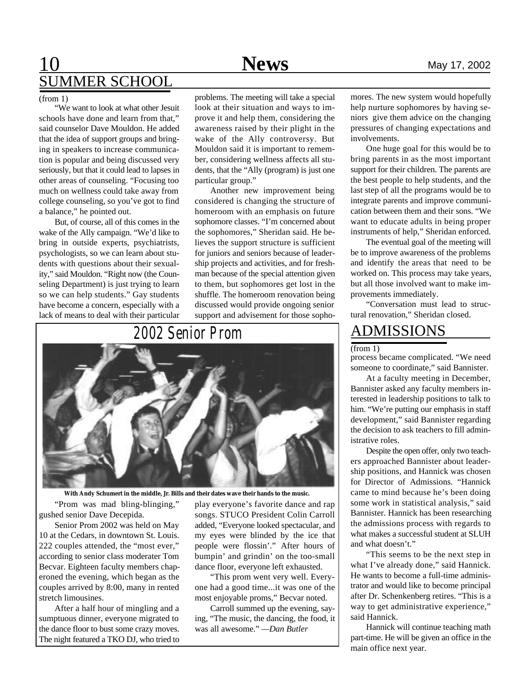## **10 News** May 17, 2002 SUMMER SCHOOL

### (from 1)

"We want to look at what other Jesuit schools have done and learn from that," said counselor Dave Mouldon. He added that the idea of support groups and bringing in speakers to increase communication is popular and being discussed very seriously, but that it could lead to lapses in other areas of counseling. "Focusing too much on wellness could take away from college counseling, so you've got to find a balance," he pointed out.

But, of course, all of this comes in the wake of the Ally campaign. "We'd like to bring in outside experts, psychiatrists, psychologists, so we can learn about students with questions about their sexuality," said Mouldon. "Right now (the Counseling Department) is just trying to learn so we can help students." Gay students have become a concern, especially with a lack of means to deal with their particular problems. The meeting will take a special look at their situation and ways to improve it and help them, considering the awareness raised by their plight in the wake of the Ally controversy. But Mouldon said it is important to remember, considering wellness affects all students, that the "Ally (program) is just one particular group."

Another new improvement being considered is changing the structure of homeroom with an emphasis on future sophomore classes. "I'm concerned about the sophomores," Sheridan said. He believes the support structure is sufficient for juniors and seniors because of leadership projects and activities, and for freshman because of the special attention given to them, but sophomores get lost in the shuffle. The homeroom renovation being discussed would provide ongoing senior support and advisement for those sopho-



**With Andy Schumert in the middle, Jr. Bills and their dates wave their hands to the music.**

"Prom was mad bling-blinging," gushed senior Dave Decepida.

Senior Prom 2002 was held on May 10 at the Cedars, in downtown St. Louis. 222 couples attended, the "most ever," according to senior class moderater Tom Becvar. Eighteen faculty members chaperoned the evening, which began as the couples arrived by 8:00, many in rented stretch limousines.

After a half hour of mingling and a sumptuous dinner, everyone migrated to the dance floor to bust some crazy moves. The night featured a TKO DJ, who tried to

play everyone's favorite dance and rap songs. STUCO President Colin Carroll added, "Everyone looked spectacular, and my eyes were blinded by the ice that people were flossin'." After hours of bumpin' and grindin' on the too-small dance floor, everyone left exhausted.

"This prom went very well. Everyone had a good time...it was one of the most enjoyable proms," Becvar noted.

Carroll summed up the evening, saying, "The music, the dancing, the food, it was all awesome." *—Dan Butler*

mores. The new system would hopefully help nurture sophomores by having seniors give them advice on the changing pressures of changing expectations and involvements.

One huge goal for this would be to bring parents in as the most important support for their children. The parents are the best people to help students, and the last step of all the programs would be to integrate parents and improve communication between them and their sons. "We want to educate adults in being proper instruments of help," Sheridan enforced.

The eventual goal of the meeting will be to improve awareness of the problems and identify the areas that need to be worked on. This process may take years, but all those involved want to make improvements immediately.

"Conversation must lead to structural renovation," Sheridan closed.

### ADMISSIONS

### (from 1)

process became complicated. "We need someone to coordinate," said Bannister.

At a faculty meeting in December, Bannister asked any faculty members interested in leadership positions to talk to him. "We're putting our emphasis in staff development," said Bannister regarding the decision to ask teachers to fill administrative roles.

Despite the open offer, only two teachers approached Bannister about leadership positions, and Hannick was chosen for Director of Admissions. "Hannick came to mind because he's been doing some work in statistical analysis," said Bannister. Hannick has been researching the admissions process with regards to what makes a successful student at SLUH and what doesn't."

"This seems to be the next step in what I've already done," said Hannick. He wants to become a full-time administrator and would like to become principal after Dr. Schenkenberg retires. "This is a way to get administrative experience," said Hannick.

Hannick will continue teaching math part-time. He will be given an office in the main office next year.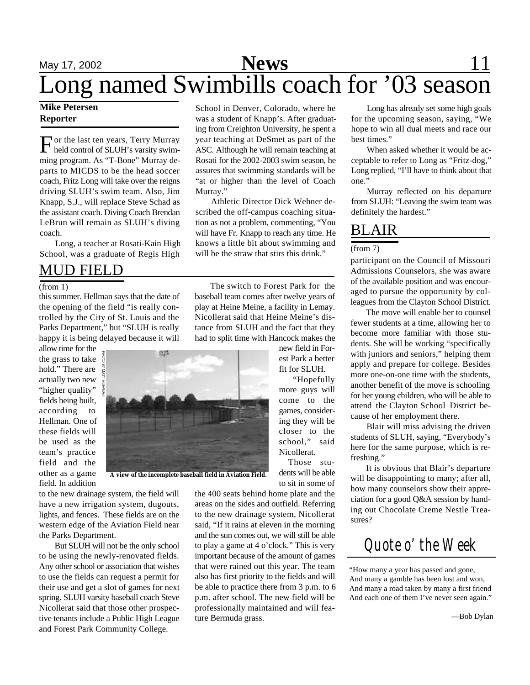# May 17, 2002 **News** 11 Long named Swimbills coach for '03 season

### **Mike Petersen Reporter**

For the last ten years, Terry Murray<br>held control of SLUH's varsity swimor the last ten years, Terry Murray ming program. As "T-Bone" Murray departs to MICDS to be the head soccer coach, Fritz Long will take over the reigns driving SLUH's swim team. Also, Jim Knapp, S.J., will replace Steve Schad as the assistant coach. Diving Coach Brendan LeBrun will remain as SLUH's diving coach.

Long, a teacher at Rosati-Kain High School, was a graduate of Regis High

## MUD FIELD

#### (from 1)

this summer. Hellman says that the date of the opening of the field "is really controlled by the City of St. Louis and the Parks Department," but "SLUH is really happy it is being delayed because it will

allow time for the the grass to take hold." There are actually two new "higher quality" fields being built, according to Hellman. One of these fields will be used as the team's practice field and the other as a game field. In addition

School in Denver, Colorado, where he was a student of Knapp's. After graduating from Creighton University, he spent a year teaching at DeSmet as part of the ASC. Although he will remain teaching at Rosati for the 2002-2003 swim season, he assures that swimming standards will be "at or higher than the level of Coach Murray."

Athletic Director Dick Wehner described the off-campus coaching situation as not a problem, commenting, "You will have Fr. Knapp to reach any time. He knows a little bit about swimming and will be the straw that stirs this drink."

The switch to Forest Park for the baseball team comes after twelve years of play at Heine Meine, a facility in Lemay. Nicollerat said that Heine Meine's distance from SLUH and the fact that they had to split time with Hancock makes the

> new field in Forest Park a better fit for SLUH.

> "Hopefully more guys will come to the games, considering they will be closer to the school," said Nicollerat.

> Those students will be able to sit in some of

the 400 seats behind home plate and the areas on the sides and outfield. Referring to the new drainage system, Nicollerat said, "If it rains at eleven in the morning and the sun comes out, we will still be able to play a game at 4 o'clock." This is very important because of the amount of games that were rained out this year. The team also has first priority to the fields and will be able to practice there from 3 p.m. to 6 p.m. after school. The new field will be professionally maintained and will feature Bermuda grass.

Long has already set some high goals for the upcoming season, saying, "We hope to win all dual meets and race our best times."

When asked whether it would be acceptable to refer to Long as "Fritz-dog," Long replied, "I'll have to think about that one."

Murray reflected on his departure from SLUH: "Leaving the swim team was definitely the hardest."

### BLAIR

### (from 7)

participant on the Council of Missouri Admissions Counselors, she was aware of the available position and was encouraged to pursue the opportunity by colleagues from the Clayton School District.

The move will enable her to counsel fewer students at a time, allowing her to become more familiar with those students. She will be working "specifically with juniors and seniors," helping them apply and prepare for college. Besides more one-on-one time with the students, another benefit of the move is schooling for her young children, who will be able to attend the Clayton School District because of her employment there.

 Blair will miss advising the driven students of SLUH, saying, "Everybody's here for the same purpose, which is refreshing."

It is obvious that Blair's departure will be disappointing to many; after all, how many counselors show their appreciation for a good Q&A session by handing out Chocolate Creme Nestle Treasures?

*Quote o' the Week*

"How many a year has passed and gone, And many a gamble has been lost and won, And many a road taken by many a first friend And each one of them I've never seen again."

# **A view of the incomplete baseball field in Aviation Field.**

to the new drainage system, the field will have a new irrigation system, dugouts, lights, and fences. These fields are on the western edge of the Aviation Field near the Parks Department.

But SLUH will not be the only school to be using the newly-renovated fields. Any other school or association that wishes to use the fields can request a permit for their use and get a slot of games for next spring. SLUH varsity baseball coach Steve Nicollerat said that those other prospective tenants include a Public High League and Forest Park Community College.

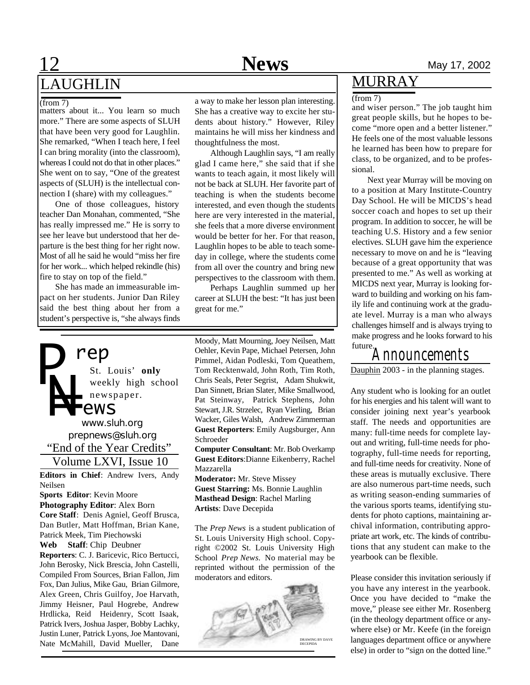## **News** May 17, 2002 LAUGHLIN MURRAY

matters about it... You learn so much more." There are some aspects of SLUH that have been very good for Laughlin. She remarked, "When I teach here, I feel I can bring morality (into the classroom), whereas I could not do that in other places." She went on to say, "One of the greatest aspects of (SLUH) is the intellectual connection I (share) with my colleagues."

One of those colleagues, history teacher Dan Monahan, commented, "She has really impressed me." He is sorry to see her leave but understood that her departure is the best thing for her right now. Most of all he said he would "miss her fire for her work... which helped rekindle (his) fire to stay on top of the field."

She has made an immeasurable impact on her students. Junior Dan Riley said the best thing about her from a student's perspective is, "she always finds



**Editors in Chief**: Andrew Ivers, Andy Neilsen

**Sports Editor**: Kevin Moore **Photography Editor**: Alex Born **Core Staff**: Denis Agniel, Geoff Brusca, Dan Butler, Matt Hoffman, Brian Kane, Patrick Meek, Tim Piechowski

**Web Staff**: Chip Deubner **Reporters**: C. J. Baricevic, Rico Bertucci, John Berosky, Nick Brescia, John Castelli, Compiled From Sources, Brian Fallon, Jim Fox, Dan Julius, Mike Gau, Brian Gilmore, Alex Green, Chris Guilfoy, Joe Harvath, Jimmy Heisner, Paul Hogrebe, Andrew Hrdlicka, Reid Heidenry, Scott Isaak, Patrick Ivers, Joshua Jasper, Bobby Lachky, Justin Luner, Patrick Lyons, Joe Mantovani, Nate McMahill, David Mueller, Dane

 $\frac{1}{2}$  (from 7) a way to make her lesson plan interesting.  $\begin{bmatrix} 1 & 0 \\ 0 & 1 \end{bmatrix}$  (from 7) She has a creative way to excite her students about history." However, Riley maintains he will miss her kindness and thoughtfulness the most.

> Although Laughlin says, "I am really glad I came here," she said that if she wants to teach again, it most likely will not be back at SLUH. Her favorite part of teaching is when the students become interested, and even though the students here are very interested in the material, she feels that a more diverse environment would be better for her. For that reason, Laughlin hopes to be able to teach someday in college, where the students come from all over the country and bring new perspectives to the classroom with them.

> Perhaps Laughlin summed up her career at SLUH the best: "It has just been great for me."

> Moody, Matt Mourning, Joey Neilsen, Matt Oehler, Kevin Pape, Michael Petersen, John Pimmel, Aidan Podleski, Tom Queathem, Tom Recktenwald, John Roth, Tim Roth, Chris Seals, Peter Segrist, Adam Shukwit, Dan Sinnett, Brian Slater, Mike Smallwood, Pat Steinway, Patrick Stephens, John Stewart, J.R. Strzelec, Ryan Vierling, Brian Wacker, Giles Walsh, Andrew Zimmerman **Guest Reporters**: Emily Augsburger, Ann Schroeder

> **Computer Consultant**: Mr. Bob Overkamp **Guest Editors**:Dianne Eikenberry, Rachel Mazzarella

**Moderator:** Mr. Steve Missey **Guest Starring:** Ms. Bonnie Laughlin **Masthead Design**: Rachel Marling **Artists**: Dave Decepida

The *Prep News* is a student publication of St. Louis University High school. Copyright ©2002 St. Louis University High School *Prep News.* No material may be reprinted without the permission of the moderators and editors.



and wiser person." The job taught him great people skills, but he hopes to become "more open and a better listener." He feels one of the most valuable lessons he learned has been how to prepare for class, to be organized, and to be professional.

Next year Murray will be moving on to a position at Mary Institute-Country Day School. He will be MICDS's head soccer coach and hopes to set up their program. In addition to soccer, he will be teaching U.S. History and a few senior electives. SLUH gave him the experience necessary to move on and he is "leaving because of a great opportunity that was presented to me." As well as working at MICDS next year, Murray is looking forward to building and working on his family life and continuing work at the graduate level. Murray is a man who always challenges himself and is always trying to make progress and he looks forward to his future.

*Announcements*

Dauphin 2003 - in the planning stages.

Any student who is looking for an outlet for his energies and his talent will want to consider joining next year's yearbook staff. The needs and opportunities are many: full-time needs for complete layout and writing, full-time needs for photography, full-time needs for reporting, and full-time needs for creativity. None of these areas is mutually exclusive. There are also numerous part-time needs, such as writing season-ending summaries of the various sports teams, identifying students for photo captions, maintaining archival information, contributing appropriate art work, etc. The kinds of contributions that any student can make to the yearbook can be flexible.

Please consider this invitation seriously if you have any interest in the yearbook. Once you have decided to "make the move," please see either Mr. Rosenberg (in the theology department office or anywhere else) or Mr. Keefe (in the foreign languages department office or anywhere else) in order to "sign on the dotted line."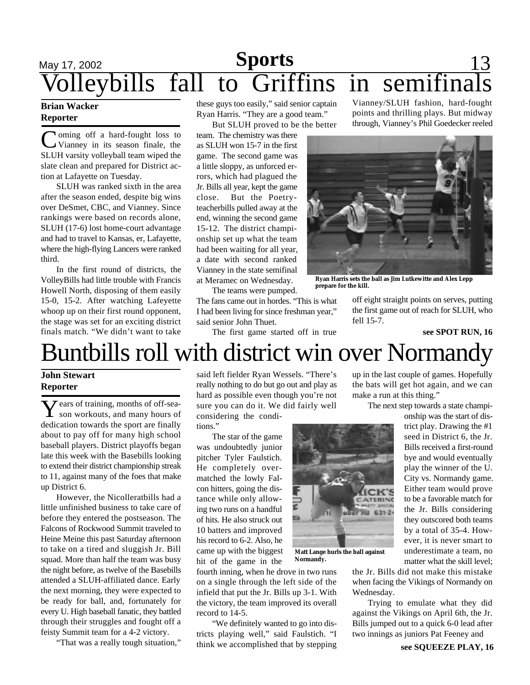# **Sports** 13 olleybills fall to Griffins in semifin

### **Brian Wacker Reporter**

C oming off a hard-fought loss to Vianney in its season finale, the SLUH varsity volleyball team wiped the slate clean and prepared for District action at Lafayette on Tuesday.

SLUH was ranked sixth in the area after the season ended, despite big wins over DeSmet, CBC, and Vianney. Since rankings were based on records alone, SLUH (17-6) lost home-court advantage and had to travel to Kansas, er, Lafayette, where the high-flying Lancers were ranked third.

In the first round of districts, the VolleyBills had little trouble with Francis Howell North, disposing of them easily 15-0, 15-2. After watching Lafeyette whoop up on their first round opponent, the stage was set for an exciting district finals match. "We didn't want to take these guys too easily," said senior captain Ryan Harris. "They are a good team." But SLUH proved to be the better

team. The chemistry was there as SLUH won 15-7 in the first game. The second game was a little sloppy, as unforced errors, which had plagued the Jr. Bills all year, kept the game close. But the Poetryteacherbills pulled away at the end, winning the second game 15-12. The district championship set up what the team had been waiting for all year, a date with second ranked Vianney in the state semifinal at Meramec on Wednesday.

The teams were pumped.

The fans came out in hordes. "This is what I had been living for since freshman year," said senior John Thuet.

Vianney/SLUH fashion, hard-fought points and thrilling plays. But midway through, Vianney's Phil Goedecker reeled



**Ryan Harris sets the ball as Jim Lutkewitte and Alex Lepp prepare for the kill.**

make a run at this thing."

off eight straight points on serves, putting the first game out of reach for SLUH, who fell 15-7.

up in the last couple of games. Hopefully the bats will get hot again, and we can

The next step towards a state champi-

onship was the start of district play. Drawing the #1 seed in District 6, the Jr. Bills received a first-round bye and would eventually play the winner of the U. City vs. Normandy game. Either team would prove to be a favorable match for the Jr. Bills considering they outscored both teams by a total of 35-4. However, it is never smart to underestimate a team, no matter what the skill level;

**see SPOT RUN, 16**

The first game started off in true

# Buntbills roll with district win over Normand

### **John Stewart Reporter**

Y ears of training, months of off-sea-<br>son workouts, and many hours of  $\bar{z}$  ears of training, months of off-seadedication towards the sport are finally about to pay off for many high school baseball players. District playoffs began late this week with the Basebills looking to extend their district championship streak to 11, against many of the foes that make up District 6.

However, the Nicolleratbills had a little unfinished business to take care of before they entered the postseason. The Falcons of Rockwood Summit traveled to Heine Meine this past Saturday afternoon to take on a tired and sluggish Jr. Bill squad. More than half the team was busy the night before, as twelve of the Basebills attended a SLUH-affiliated dance. Early the next morning, they were expected to be ready for ball, and, fortunately for every U. High baseball fanatic, they battled through their struggles and fought off a feisty Summit team for a 4-2 victory.

"That was a really tough situation,"

said left fielder Ryan Wessels. "There's really nothing to do but go out and play as hard as possible even though you're not sure you can do it. We did fairly well considering the condi-

tions."

The star of the game was undoubtedly junior pitcher Tyler Faulstich. He completely overmatched the lowly Falcon hitters, going the distance while only allowing two runs on a handful of hits. He also struck out 10 batters and improved his record to 6-2. Also, he came up with the biggest hit of the game in the

fourth inning, when he drove in two runs on a single through the left side of the infield that put the Jr. Bills up 3-1. With the victory, the team improved its overall record to 14-5.

"We definitely wanted to go into districts playing well," said Faulstich. "I think we accomplished that by stepping



**Matt Lange hurls the ball against Normandy.**

the Jr. Bills did not make this mistake when facing the Vikings of Normandy on Wednesday.

Trying to emulate what they did against the Vikings on April 6th, the Jr. Bills jumped out to a quick 6-0 lead after two innings as juniors Pat Feeney and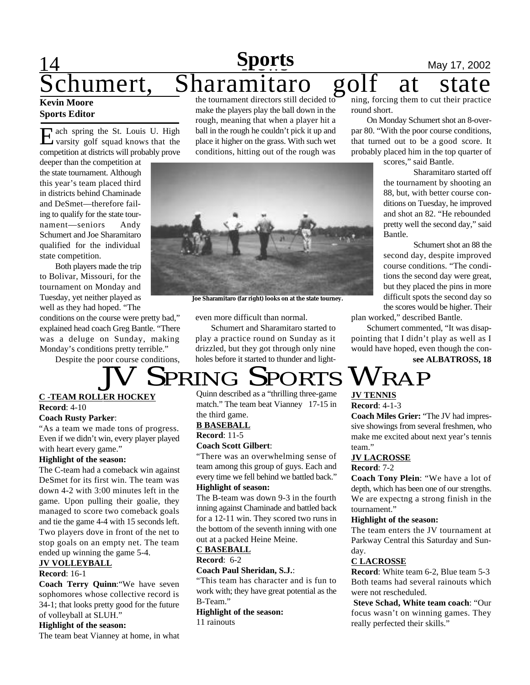## **Sports** May 17, 2002 **Kevin Moore** chumert, Sharamitaro golf at

## **Sports Editor**

Exact spring the St. Louis U. High varsity golf squad knows that the varsity golf squad knows that the competition at districts will probably prove

deeper than the competition at the state tournament. Although this year's team placed third in districts behind Chaminade and DeSmet—therefore failing to qualify for the state tournament—seniors Andy Schumert and Joe Sharamitaro qualified for the individual state competition.

Both players made the trip to Bolivar, Missouri, for the tournament on Monday and Tuesday, yet neither played as well as they had hoped. "The

conditions on the course were pretty bad," explained head coach Greg Bantle. "There was a deluge on Sunday, making Monday's conditions pretty terrible."

Despite the poor course conditions,

the tournament directors still decided to make the players play the ball down in the rough, meaning that when a player hit a ball in the rough he couldn't pick it up and place it higher on the grass. With such wet conditions, hitting out of the rough was

ning, forcing them to cut their practice round short.

On Monday Schumert shot an 8-overpar 80. "With the poor course conditions, that turned out to be a good score. It probably placed him in the top quarter of

scores," said Bantle.

Sharamitaro started off the tournament by shooting an 88, but, with better course conditions on Tuesday, he improved and shot an 82. "He rebounded pretty well the second day," said Bantle.

Schumert shot an 88 the second day, despite improved course conditions. "The conditions the second day were great, but they placed the pins in more difficult spots the second day so the scores would be higher. Their

plan worked," described Bantle.

Schumert commented, "It was disappointing that I didn't play as well as I would have hoped, even though the con-

**see ALBATROSS, 18**

# SPRING SPORTS WRAP

#### **C -TEAM ROLLER HOCKEY Record**: 4-10

### **Coach Rusty Parker**:

"As a team we made tons of progress. Even if we didn't win, every player played with heart every game."

### **Highlight of the season:**

The C-team had a comeback win against DeSmet for its first win. The team was down 4-2 with 3:00 minutes left in the game. Upon pulling their goalie, they managed to score two comeback goals and tie the game 4-4 with 15 seconds left. Two players dove in front of the net to stop goals on an empty net. The team ended up winning the game 5-4.

### **JV VOLLEYBALL**

### **Record**: 16-1

**Coach Terry Quinn**:"We have seven sophomores whose collective record is 34-1; that looks pretty good for the future of volleyball at SLUH."

### **Highlight of the season:**

The team beat Vianney at home, in what

Quinn described as a "thrilling three-game match." The team beat Vianney 17-15 in the third game.

#### **B BASEBALL**

**Record**: 11-5

### **Coach Scott Gilbert**:

"There was an overwhelming sense of team among this group of guys. Each and every time we fell behind we battled back." **Highlight of season:**

The B-team was down 9-3 in the fourth inning against Chaminade and battled back for a 12-11 win. They scored two runs in the bottom of the seventh inning with one out at a packed Heine Meine.

### **C BASEBALL**

**Record**: 6-2

### **Coach Paul Sheridan, S.J.**:

"This team has character and is fun to work with; they have great potential as the B-Team."

### **Highlight of the season:**

11 rainouts

**JV TENNIS**

**Record**: 4-1-3

**Coach Miles Grier:** "The JV had impressive showings from several freshmen, who make me excited about next year's tennis team."

### **JV LACROSSE**

#### **Record**: 7-2

**Coach Tony Plein**: "We have a lot of depth, which has been one of our strengths. We are expectng a strong finish in the tournament."

### **Highlight of the season:**

The team enters the JV tournament at Parkway Central this Saturday and Sunday.

### **C LACROSSE**

**Record**: White team 6-2, Blue team 5-3 Both teams had several rainouts which were not rescheduled.

 **Steve Schad, White team coach**: "Our focus wasn't on winning games. They really perfected their skills."

**Joe Sharamitaro (far right) looks on at the state tourney.**

even more difficult than normal.

Schumert and Sharamitaro started to play a practice round on Sunday as it drizzled, but they got through only nine holes before it started to thunder and light-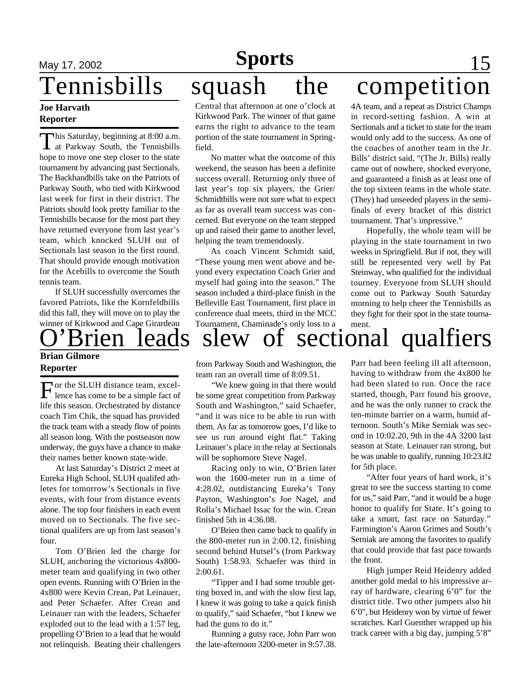### **Joe Harvath Reporter**

T his Saturday, beginning at 8:00 a.m. at Parkway South, the Tennisbills hope to move one step closer to the state tournament by advancing past Sectionals. The Backhandbills take on the Patriots of Parkway South, who tied with Kirkwood last week for first in their district. The Patriots should look pretty familiar to the Tennisbills because for the most part they have returned everyone from last year's team, which knocked SLUH out of Sectionals last season in the first round. That should provide enough motivation for the Acebills to overcome the South tennis team.

If SLUH successfully overcomes the favored Patriots, like the Kornfeldbills did this fall, they will move on to play the winner of Kirkwood and Cape Girardeau

## Brien leads slew of sectional qualfiers **Brian Gilmore**

### **Reporter**

For the SLUH distance team, excel-<br>lence has come to be a simple fact of or the SLUH distance team, excellife this season. Orchestrated by distance coach Tim Chik, the squad has provided the track team with a steady flow of points all season long. With the postseason now underway, the guys have a chance to make their names better known state-wide.

At last Saturday's District 2 meet at Eureka High School, SLUH qualifed athletes for tomorrow's Sectionals in five events, with four from distance events alone. The top four finishers in each event moved on to Sectionals. The five sectional qualifers are up from last season's four.

Tom O'Brien led the charge for SLUH, anchoring the victorious 4x800 meter team and qualifying in two other open events. Running with O'Brien in the 4x800 were Kevin Crean, Pat Leinauer, and Peter Schaefer. After Crean and Leinauer ran with the leaders, Schaefer exploded out to the lead with a 1:57 leg, propelling O'Brien to a lead that he would not relinquish. Beating their challengers

# May 17, 2002 **News** 15 **Sports**

Central that afternoon at one o'clock at Kirkwood Park. The winner of that game earns the right to advance to the team portion of the state tournament in Springfield.

No matter what the outcome of this weekend, the season has been a definite success overall. Returning only three of last year's top six players, the Grier/ Schmidtbills were not sure what to expect as far as overall team success was concerned. But everyone on the team stepped up and raised their game to another level, helping the team tremendously.

As coach Vincent Schmidt said, "These young men went above and beyond every expectation Coach Grier and myself had going into the season." The season included a third-place finish in the Belleville East Tournament, first place in conference dual meets, third in the MCC Tournament, Chaminade's only loss to a

# Tennisbills squash the competition

4A team, and a repeat as District Champs in record-setting fashion. A win at Sectionals and a ticket to state for the team would only add to the success. As one of the coaches of another team in the Jr. Bills' district said, "(The Jr. Bills) really came out of nowhere, shocked everyone, and guaranteed a finish as at least one of the top sixteen teams in the whole state. (They) had unseeded players in the semifinals of every bracket of this district tournament. That's impressive."

Hopefully, the whole team will be playing in the state tournament in two weeks in Springfield. But if not, they will still be represented very well by Pat Steinway, who qualified for the individual tourney. Everyone from SLUH should come out to Parkway South Saturday morning to help cheer the Tennisbills as they fight for their spot in the state tournament.

from Parkway South and Washington, the team ran an overall time of 8:09.51.

"We knew going in that there would be some great competition from Parkway South and Washington," said Schaefer, "and it was nice to be able to run with them. As far as tomorrow goes, I'd like to see us run around eight flat." Taking Leinauer's place in the relay at Sectionals will be sophomore Steve Nagel.

Racing only to win, O'Brien later won the 1600-meter run in a time of 4:28.02, outdistancing Eureka's Tony Payton, Washington's Joe Nagel, and Rolla's Michael Issac for the win. Crean finished 5th in 4:36.08.

O'Brien then came back to qualify in the 800-meter run in 2:00.12, finishing second behind Hutsel's (from Parkway South) 1:58.93. Schaefer was third in 2:00.61.

"Tipper and I had some trouble getting boxed in, and with the slow first lap, I knew it was going to take a quick finish to qualify," said Schaefer, "but I knew we had the guns to do it."

Running a gutsy race, John Parr won the late-afternoon 3200-meter in 9:57.38.

Parr had been feeling ill all afternoon, having to withdraw from the 4x800 he had been slated to run. Once the race started, though, Parr found his groove, and he was the only runner to crack the ten-minute barrier on a warm, humid afternoon. South's Mike Serniak was second in 10:02.20, 9th in the 4A 3200 last season at State. Leinauer ran strong, but he was unable to qualify, running 10:23.82 for 5th place.

"After four years of hard work, it's great to see the success starting to come for us," said Parr, "and it would be a huge honor to qualify for State. It's going to take a smart, fast race on Saturday." Farmington's Aaron Grimes and South's Serniak are among the favorites to qualify that could provide that fast pace towards the front.

High jumper Reid Heidenry added another gold medal to his impressive array of hardware, clearing 6'0" for the district title. Two other jumpers also hit 6'0", but Heidenry won by virtue of fewer scratches. Karl Guenther wrapped up his track career with a big day, jumping 5'8"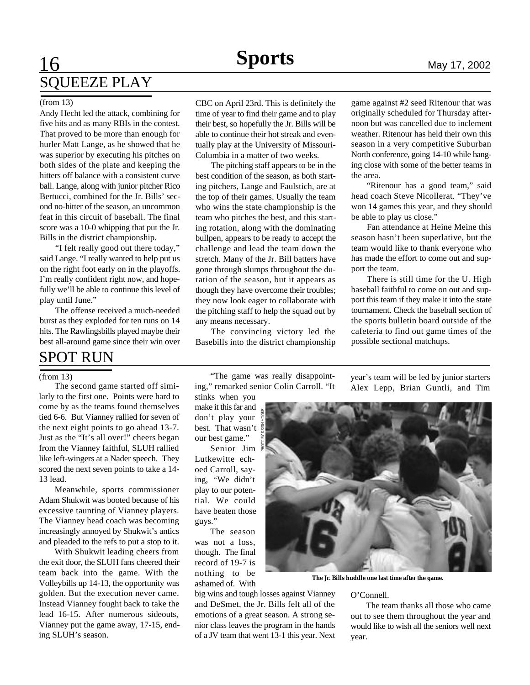## **16 News News News May 17, 2002** SQUEEZE PLAY

### (from 13)

Andy Hecht led the attack, combining for five hits and as many RBIs in the contest. That proved to be more than enough for hurler Matt Lange, as he showed that he was superior by executing his pitches on both sides of the plate and keeping the hitters off balance with a consistent curve ball. Lange, along with junior pitcher Rico Bertucci, combined for the Jr. Bills' second no-hitter of the season, an uncommon feat in this circuit of baseball. The final score was a 10-0 whipping that put the Jr. Bills in the district championship.

"I felt really good out there today," said Lange. "I really wanted to help put us on the right foot early on in the playoffs. I'm really confident right now, and hopefully we'll be able to continue this level of play until June."

The offense received a much-needed burst as they exploded for ten runs on 14 hits. The Rawlingsbills played maybe their best all-around game since their win over

## SPOT RUN

The second game started off similarly to the first one. Points were hard to come by as the teams found themselves tied 6-6. But Vianney rallied for seven of the next eight points to go ahead 13-7. Just as the "It's all over!" cheers began from the Vianney faithful, SLUH rallied like left-wingers at a Nader speech. They scored the next seven points to take a 14- 13 lead.

Meanwhile, sports commissioner Adam Shukwit was booted because of his excessive taunting of Vianney players. The Vianney head coach was becoming increasingly annoyed by Shukwit's antics and pleaded to the refs to put a stop to it.

With Shukwit leading cheers from the exit door, the SLUH fans cheered their team back into the game. With the Volleybills up 14-13, the opportunity was golden. But the execution never came. Instead Vianney fought back to take the lead 16-15. After numerous sideouts, Vianney put the game away, 17-15, ending SLUH's season.

CBC on April 23rd. This is definitely the time of year to find their game and to play their best, so hopefully the Jr. Bills will be able to continue their hot streak and eventually play at the University of Missouri-Columbia in a matter of two weeks.

The pitching staff appears to be in the best condition of the season, as both starting pitchers, Lange and Faulstich, are at the top of their games. Usually the team who wins the state championship is the team who pitches the best, and this starting rotation, along with the dominating bullpen, appears to be ready to accept the challenge and lead the team down the stretch. Many of the Jr. Bill batters have gone through slumps throughout the duration of the season, but it appears as though they have overcome their troubles; they now look eager to collaborate with the pitching staff to help the squad out by any means necessary.

The convincing victory led the Basebills into the district championship game against #2 seed Ritenour that was originally scheduled for Thursday afternoon but was cancelled due to inclement weather. Ritenour has held their own this season in a very competitive Suburban North conference, going 14-10 while hanging close with some of the better teams in the area.

"Ritenour has a good team," said head coach Steve Nicollerat. "They've won 14 games this year, and they should be able to play us close."

Fan attendance at Heine Meine this season hasn't been superlative, but the team would like to thank everyone who has made the effort to come out and support the team.

There is still time for the U. High baseball faithful to come on out and support this team if they make it into the state tournament. Check the baseball section of the sports bulletin board outside of the cafeteria to find out game times of the possible sectional matchups.

"The game was really disappointing," remarked senior Colin Carroll. "It (from 13) "The game was really disappoint-<br>
year's team will be led by junior starters

stinks when you make it this far and don't play your best. That wasn't our best game."

Senior Jim Lutkewitte echoed Carroll, saying, "We didn't play to our potential. We could have beaten those guys."

The season was not a loss, though. The final record of 19-7 is nothing to be ashamed of. With

big wins and tough losses against Vianney and DeSmet, the Jr. Bills felt all of the emotions of a great season. A strong senior class leaves the program in the hands of a JV team that went 13-1 this year. Next

Alex Lepp, Brian Guntli, and Tim



**The Jr. Bills huddle one last time after the game.**

#### O'Connell.

The team thanks all those who came out to see them throughout the year and would like to wish all the seniors well next year.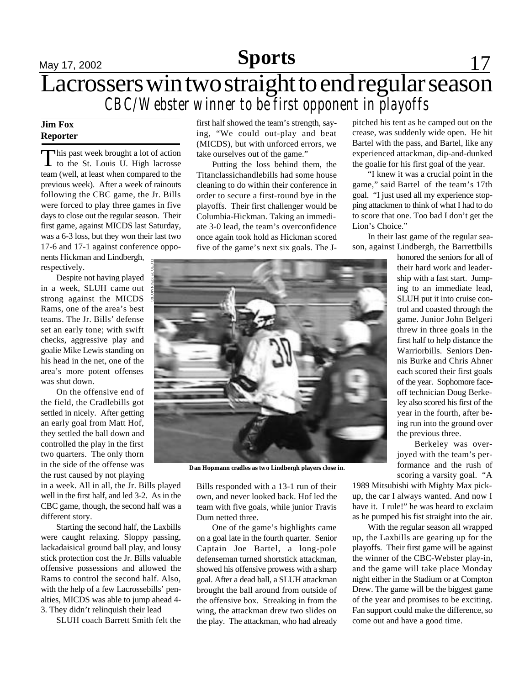## **Sports**

## May 17, 2002 **News** 17 Lacrossers win two straight to end regular season *CBC/Webster winner to be first opponent in playoffs*

### **Jim Fox Reporter**

This past week brought a lot of action<br>to the St. Louis U. High lacrosse his past week brought a lot of action team (well, at least when compared to the previous week). After a week of rainouts following the CBC game, the Jr. Bills were forced to play three games in five days to close out the regular season. Their first game, against MICDS last Saturday, was a 6-3 loss, but they won their last two 17-6 and 17-1 against conference oppo-

nents Hickman and Lindbergh, respectively.

Despite not having played in a week, SLUH came out strong against the MICDS Rams, one of the area's best teams. The Jr. Bills' defense set an early tone; with swift checks, aggressive play and goalie Mike Lewis standing on his head in the net, one of the area's more potent offenses was shut down.

On the offensive end of the field, the Cradlebills got settled in nicely. After getting an early goal from Matt Hof, they settled the ball down and controlled the play in the first two quarters. The only thorn in the side of the offense was the rust caused by not playing

in a week. All in all, the Jr. Bills played well in the first half, and led 3-2. As in the CBC game, though, the second half was a different story.

Starting the second half, the Laxbills were caught relaxing. Sloppy passing, lackadaisical ground ball play, and lousy stick protection cost the Jr. Bills valuable offensive possessions and allowed the Rams to control the second half. Also, with the help of a few Lacrossebills' penalties, MICDS was able to jump ahead 4- 3. They didn't relinquish their lead

SLUH coach Barrett Smith felt the

first half showed the team's strength, saying, "We could out-play and beat (MICDS), but with unforced errors, we take ourselves out of the game."

Putting the loss behind them, the Titanclassichandlebills had some house cleaning to do within their conference in order to secure a first-round bye in the playoffs. Their first challenger would be Columbia-Hickman. Taking an immediate 3-0 lead, the team's overconfidence once again took hold as Hickman scored five of the game's next six goals. The J-

Bills responded with a 13-1 run of their own, and never looked back. Hof led the team with five goals, while junior Travis Dum netted three.

One of the game's highlights came on a goal late in the fourth quarter. Senior Captain Joe Bartel, a long-pole defenseman turned shortstick attackman, showed his offensive prowess with a sharp goal. After a dead ball, a SLUH attackman brought the ball around from outside of the offensive box. Streaking in from the wing, the attackman drew two slides on the play. The attackman, who had already

pitched his tent as he camped out on the crease, was suddenly wide open. He hit Bartel with the pass, and Bartel, like any experienced attackman, dip-and-dunked the goalie for his first goal of the year.

"I knew it was a crucial point in the game," said Bartel of the team's 17th goal. "I just used all my experience stopping attackmen to think of what I had to do to score that one. Too bad I don't get the Lion's Choice."

In their last game of the regular season, against Lindbergh, the Barrettbills

> honored the seniors for all of their hard work and leadership with a fast start. Jumping to an immediate lead, SLUH put it into cruise control and coasted through the game. Junior John Belgeri threw in three goals in the first half to help distance the Warriorbills. Seniors Dennis Burke and Chris Ahner each scored their first goals of the year. Sophomore faceoff technician Doug Berkeley also scored his first of the year in the fourth, after being run into the ground over the previous three.

> Berkeley was overjoyed with the team's performance and the rush of scoring a varsity goal. "A

1989 Mitsubishi with Mighty Max pickup, the car I always wanted. And now I have it. I rule!" he was heard to exclaim as he pumped his fist straight into the air.

With the regular season all wrapped up, the Laxbills are gearing up for the playoffs. Their first game will be against the winner of the CBC-Webster play-in, and the game will take place Monday night either in the Stadium or at Compton Drew. The game will be the biggest game of the year and promises to be exciting. Fan support could make the difference, so come out and have a good time.